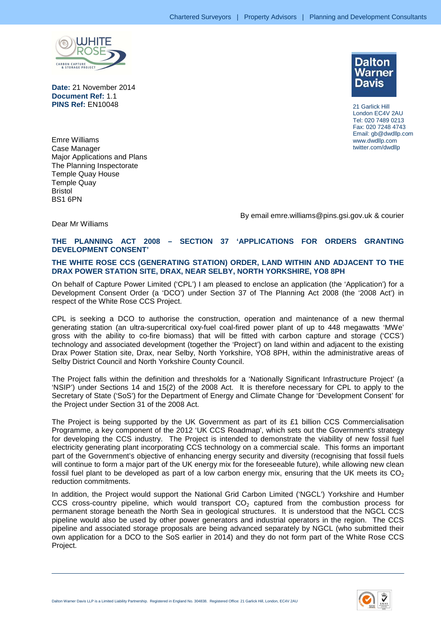

**Date:** 21 November 2014 **Document Ref:** 1.1 **PINS Ref:** EN10048



21 Garlick Hill London EC4V 2AU Tel: 020 7489 0213 Fax: 020 7248 4743 Email: gb@dwdllp.com www.dwdllp.com twitter.com/dwdllp

Emre Williams Case Manager Major Applications and Plans The Planning Inspectorate Temple Quay House Temple Quay Bristol BS1 6PN

By email emre.williams@pins.gsi.gov.uk & courier

## Dear Mr Williams

## **THE PLANNING ACT 2008 – SECTION 37 'APPLICATIONS FOR ORDERS GRANTING DEVELOPMENT CONSENT'**

## **THE WHITE ROSE CCS (GENERATING STATION) ORDER, LAND WITHIN AND ADJACENT TO THE DRAX POWER STATION SITE, DRAX, NEAR SELBY, NORTH YORKSHIRE, YO8 8PH**

On behalf of Capture Power Limited ('CPL') I am pleased to enclose an application (the 'Application') for a Development Consent Order (a 'DCO') under Section 37 of The Planning Act 2008 (the '2008 Act') in respect of the White Rose CCS Project.

CPL is seeking a DCO to authorise the construction, operation and maintenance of a new thermal generating station (an ultra-supercritical oxy-fuel coal-fired power plant of up to 448 megawatts 'MWe' gross with the ability to co-fire biomass) that will be fitted with carbon capture and storage ('CCS') technology and associated development (together the 'Project') on land within and adjacent to the existing Drax Power Station site, Drax, near Selby, North Yorkshire, YO8 8PH, within the administrative areas of Selby District Council and North Yorkshire County Council.

The Project falls within the definition and thresholds for a 'Nationally Significant Infrastructure Project' (a 'NSIP') under Sections 14 and 15(2) of the 2008 Act. It is therefore necessary for CPL to apply to the Secretary of State ('SoS') for the Department of Energy and Climate Change for 'Development Consent' for the Project under Section 31 of the 2008 Act.

The Project is being supported by the UK Government as part of its £1 billion CCS Commercialisation Programme, a key component of the 2012 'UK CCS Roadmap', which sets out the Government's strategy for developing the CCS industry. The Project is intended to demonstrate the viability of new fossil fuel electricity generating plant incorporating CCS technology on a commercial scale. This forms an important part of the Government's objective of enhancing energy security and diversity (recognising that fossil fuels will continue to form a major part of the UK energy mix for the foreseeable future), while allowing new clean fossil fuel plant to be developed as part of a low carbon energy mix, ensuring that the UK meets its  $CO<sub>2</sub>$ reduction commitments.

In addition, the Project would support the National Grid Carbon Limited ('NGCL') Yorkshire and Humber CCS cross-country pipeline, which would transport  $CO<sub>2</sub>$  captured from the combustion process for permanent storage beneath the North Sea in geological structures. It is understood that the NGCL CCS pipeline would also be used by other power generators and industrial operators in the region. The CCS pipeline and associated storage proposals are being advanced separately by NGCL (who submitted their own application for a DCO to the SoS earlier in 2014) and they do not form part of the White Rose CCS Project.

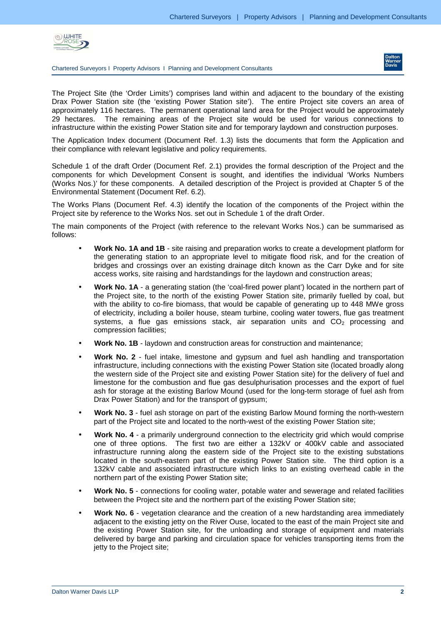

Chartered Surveyors I Property Advisors I Planning and Development Consultants



The Project Site (the 'Order Limits') comprises land within and adjacent to the boundary of the existing Drax Power Station site (the 'existing Power Station site'). The entire Project site covers an area of approximately 116 hectares. The permanent operational land area for the Project would be approximately 29 hectares. The remaining areas of the Project site would be used for various connections to infrastructure within the existing Power Station site and for temporary laydown and construction purposes.

The Application Index document (Document Ref. 1.3) lists the documents that form the Application and their compliance with relevant legislative and policy requirements.

Schedule 1 of the draft Order (Document Ref. 2.1) provides the formal description of the Project and the components for which Development Consent is sought, and identifies the individual 'Works Numbers (Works Nos.)' for these components. A detailed description of the Project is provided at Chapter 5 of the Environmental Statement (Document Ref. 6.2).

The Works Plans (Document Ref. 4.3) identify the location of the components of the Project within the Project site by reference to the Works Nos. set out in Schedule 1 of the draft Order.

The main components of the Project (with reference to the relevant Works Nos.) can be summarised as follows:

- **Work No. 1A and 1B** site raising and preparation works to create a development platform for the generating station to an appropriate level to mitigate flood risk, and for the creation of bridges and crossings over an existing drainage ditch known as the Carr Dyke and for site access works, site raising and hardstandings for the laydown and construction areas;
- **Work No. 1A** a generating station (the 'coal-fired power plant') located in the northern part of the Project site, to the north of the existing Power Station site, primarily fuelled by coal, but with the ability to co-fire biomass, that would be capable of generating up to 448 MWe gross of electricity, including a boiler house, steam turbine, cooling water towers, flue gas treatment systems, a flue gas emissions stack, air separation units and  $CO<sub>2</sub>$  processing and compression facilities;
- **Work No. 1B**  laydown and construction areas for construction and maintenance;
- **Work No. 2**  fuel intake, limestone and gypsum and fuel ash handling and transportation infrastructure, including connections with the existing Power Station site (located broadly along the western side of the Project site and existing Power Station site) for the delivery of fuel and limestone for the combustion and flue gas desulphurisation processes and the export of fuel ash for storage at the existing Barlow Mound (used for the long-term storage of fuel ash from Drax Power Station) and for the transport of gypsum;
- **Work No. 3** fuel ash storage on part of the existing Barlow Mound forming the north-western part of the Project site and located to the north-west of the existing Power Station site;
- **Work No. 4** a primarily underground connection to the electricity grid which would comprise one of three options. The first two are either a 132kV or 400kV cable and associated infrastructure running along the eastern side of the Project site to the existing substations located in the south-eastern part of the existing Power Station site. The third option is a 132kV cable and associated infrastructure which links to an existing overhead cable in the northern part of the existing Power Station site;
- **Work No. 5** connections for cooling water, potable water and sewerage and related facilities between the Project site and the northern part of the existing Power Station site;
- **Work No. 6** vegetation clearance and the creation of a new hardstanding area immediately adjacent to the existing jetty on the River Ouse, located to the east of the main Project site and the existing Power Station site, for the unloading and storage of equipment and materials delivered by barge and parking and circulation space for vehicles transporting items from the jetty to the Project site;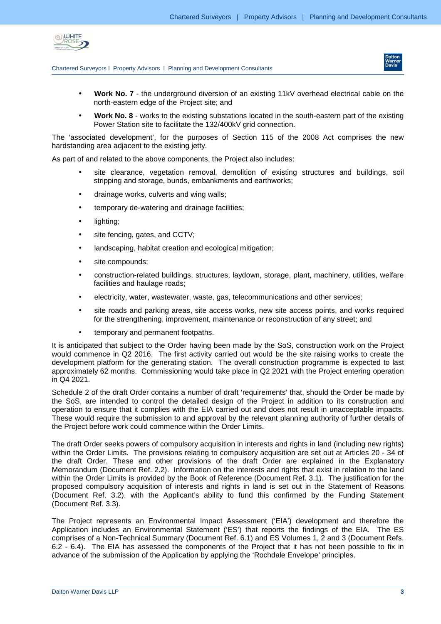

Chartered Surveyors I Property Advisors I Planning and Development Consultants



- **Work No. 7** the underground diversion of an existing 11kV overhead electrical cable on the north-eastern edge of the Project site; and
- **Work No. 8** works to the existing substations located in the south-eastern part of the existing Power Station site to facilitate the 132/400kV grid connection.

The 'associated development', for the purposes of Section 115 of the 2008 Act comprises the new hardstanding area adjacent to the existing jetty.

As part of and related to the above components, the Project also includes:

- site clearance, vegetation removal, demolition of existing structures and buildings, soil stripping and storage, bunds, embankments and earthworks;
- drainage works, culverts and wing walls;
- temporary de-watering and drainage facilities;
- lighting;
- site fencing, gates, and CCTV;
- landscaping, habitat creation and ecological mitigation;
- site compounds;
- construction-related buildings, structures, laydown, storage, plant, machinery, utilities, welfare facilities and haulage roads;
- electricity, water, wastewater, waste, gas, telecommunications and other services;
- site roads and parking areas, site access works, new site access points, and works required for the strengthening, improvement, maintenance or reconstruction of any street; and
- temporary and permanent footpaths.

It is anticipated that subject to the Order having been made by the SoS, construction work on the Project would commence in Q2 2016. The first activity carried out would be the site raising works to create the development platform for the generating station. The overall construction programme is expected to last approximately 62 months. Commissioning would take place in Q2 2021 with the Project entering operation in Q4 2021.

Schedule 2 of the draft Order contains a number of draft 'requirements' that, should the Order be made by the SoS, are intended to control the detailed design of the Project in addition to its construction and operation to ensure that it complies with the EIA carried out and does not result in unacceptable impacts. These would require the submission to and approval by the relevant planning authority of further details of the Project before work could commence within the Order Limits.

The draft Order seeks powers of compulsory acquisition in interests and rights in land (including new rights) within the Order Limits. The provisions relating to compulsory acquisition are set out at Articles 20 - 34 of the draft Order. These and other provisions of the draft Order are explained in the Explanatory Memorandum (Document Ref. 2.2). Information on the interests and rights that exist in relation to the land within the Order Limits is provided by the Book of Reference (Document Ref. 3.1). The justification for the proposed compulsory acquisition of interests and rights in land is set out in the Statement of Reasons (Document Ref. 3.2), with the Applicant's ability to fund this confirmed by the Funding Statement (Document Ref. 3.3).

The Project represents an Environmental Impact Assessment ('EIA') development and therefore the Application includes an Environmental Statement ('ES') that reports the findings of the EIA. The ES comprises of a Non-Technical Summary (Document Ref. 6.1) and ES Volumes 1, 2 and 3 (Document Refs. 6.2 - 6.4). The EIA has assessed the components of the Project that it has not been possible to fix in advance of the submission of the Application by applying the 'Rochdale Envelope' principles.